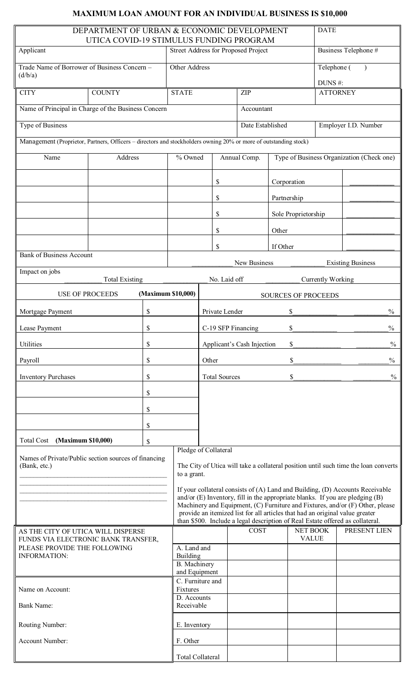## **MAXIMUM LOAN AMOUNT FOR AN INDIVIDUAL BUSINESS IS \$10,000**

| DEPARTMENT OF URBAN & ECONOMIC DEVELOPMENT<br>UTICA COVID-19 STIMULUS FUNDING PROGRAM                            |    |                         |                                                                                                    |                                                                                                                                                                |             |            |                                           |                     | <b>DATE</b>                |                          |
|------------------------------------------------------------------------------------------------------------------|----|-------------------------|----------------------------------------------------------------------------------------------------|----------------------------------------------------------------------------------------------------------------------------------------------------------------|-------------|------------|-------------------------------------------|---------------------|----------------------------|--------------------------|
| Applicant                                                                                                        |    |                         | Street Address for Proposed Project                                                                |                                                                                                                                                                |             |            |                                           |                     | Business Telephone #       |                          |
| Trade Name of Borrower of Business Concern -<br>(d/b/a)                                                          |    |                         | Other Address                                                                                      |                                                                                                                                                                |             |            |                                           |                     | Telephone (                |                          |
| <b>COUNTY</b><br><b>CITY</b>                                                                                     |    |                         | <b>STATE</b>                                                                                       |                                                                                                                                                                |             | ZIP        |                                           |                     | DUNS #:<br><b>ATTORNEY</b> |                          |
| Name of Principal in Charge of the Business Concern                                                              |    |                         |                                                                                                    |                                                                                                                                                                |             | Accountant |                                           |                     |                            |                          |
| Type of Business                                                                                                 |    |                         |                                                                                                    |                                                                                                                                                                |             |            | Employer I.D. Number                      |                     |                            |                          |
|                                                                                                                  |    |                         |                                                                                                    | Date Established                                                                                                                                               |             |            |                                           |                     |                            |                          |
| Management (Proprietor, Partners, Officers - directors and stockholders owning 20% or more of outstanding stock) |    |                         |                                                                                                    |                                                                                                                                                                |             |            |                                           |                     |                            |                          |
| Name<br>Address                                                                                                  |    | % Owned                 |                                                                                                    | Annual Comp.                                                                                                                                                   |             |            | Type of Business Organization (Check one) |                     |                            |                          |
|                                                                                                                  |    |                         |                                                                                                    |                                                                                                                                                                | \$          |            |                                           | Corporation         |                            |                          |
|                                                                                                                  |    |                         |                                                                                                    |                                                                                                                                                                | \$          |            | Partnership                               |                     |                            |                          |
|                                                                                                                  |    |                         |                                                                                                    |                                                                                                                                                                | \$          |            |                                           | Sole Proprietorship |                            |                          |
|                                                                                                                  |    |                         |                                                                                                    |                                                                                                                                                                | \$          |            | Other                                     |                     |                            |                          |
|                                                                                                                  |    |                         |                                                                                                    |                                                                                                                                                                | \$          |            | If Other                                  |                     |                            |                          |
| <b>Bank of Business Account</b>                                                                                  |    |                         |                                                                                                    | New Business                                                                                                                                                   |             |            |                                           |                     |                            | <b>Existing Business</b> |
| Impact on jobs                                                                                                   |    |                         |                                                                                                    |                                                                                                                                                                |             |            |                                           |                     |                            |                          |
| <b>Total Existing</b><br>(Maximum \$10,000)<br><b>USE OF PROCEEDS</b>                                            |    |                         |                                                                                                    | No. Laid off<br>Currently Working<br><b>SOURCES OF PROCEEDS</b>                                                                                                |             |            |                                           |                     |                            |                          |
| \$<br>Mortgage Payment                                                                                           |    |                         | \$<br>Private Lender                                                                               |                                                                                                                                                                |             |            |                                           | $\frac{0}{0}$       |                            |                          |
| Lease Payment                                                                                                    |    | \$                      |                                                                                                    | C-19 SFP Financing<br>\$                                                                                                                                       |             |            |                                           |                     | $\frac{0}{0}$              |                          |
| Utilities                                                                                                        | \$ |                         |                                                                                                    | \$<br>Applicant's Cash Injection                                                                                                                               |             |            |                                           |                     | $\frac{0}{0}$              |                          |
| Payroll                                                                                                          | \$ |                         |                                                                                                    | \$<br>Other                                                                                                                                                    |             |            |                                           | $\frac{0}{0}$       |                            |                          |
| <b>Inventory Purchases</b>                                                                                       |    | \$                      |                                                                                                    | <b>Total Sources</b><br>\$                                                                                                                                     |             |            |                                           | $\frac{0}{0}$       |                            |                          |
| \$                                                                                                               |    |                         |                                                                                                    |                                                                                                                                                                |             |            |                                           |                     |                            |                          |
| \$                                                                                                               |    |                         |                                                                                                    |                                                                                                                                                                |             |            |                                           |                     |                            |                          |
| \$                                                                                                               |    |                         |                                                                                                    |                                                                                                                                                                |             |            |                                           |                     |                            |                          |
| (Maximum \$10,000)<br><b>Total Cost</b>                                                                          |    | \$                      |                                                                                                    |                                                                                                                                                                |             |            |                                           |                     |                            |                          |
| Names of Private/Public section sources of financing                                                             |    |                         | Pledge of Collateral                                                                               |                                                                                                                                                                |             |            |                                           |                     |                            |                          |
| (Bank, etc.)                                                                                                     |    |                         | The City of Utica will take a collateral position until such time the loan converts<br>to a grant. |                                                                                                                                                                |             |            |                                           |                     |                            |                          |
|                                                                                                                  |    |                         |                                                                                                    | If your collateral consists of (A) Land and Building, (D) Accounts Receivable                                                                                  |             |            |                                           |                     |                            |                          |
|                                                                                                                  |    |                         |                                                                                                    | and/or (E) Inventory, fill in the appropriate blanks. If you are pledging (B)<br>Machinery and Equipment, (C) Furniture and Fixtures, and/or (F) Other, please |             |            |                                           |                     |                            |                          |
|                                                                                                                  |    |                         |                                                                                                    | provide an itemized list for all articles that had an original value greater<br>than \$500. Include a legal description of Real Estate offered as collateral.  |             |            |                                           |                     |                            |                          |
| AS THE CITY OF UTICA WILL DISPERSE<br>FUNDS VIA ELECTRONIC BANK TRANSFER,                                        |    |                         |                                                                                                    |                                                                                                                                                                | <b>COST</b> |            | NET BOOK<br><b>VALUE</b>                  |                     | PRESENT LIEN               |                          |
| PLEASE PROVIDE THE FOLLOWING<br><b>INFORMATION:</b>                                                              |    | A. Land and<br>Building |                                                                                                    |                                                                                                                                                                |             |            |                                           |                     |                            |                          |
|                                                                                                                  |    |                         | <b>B.</b> Machinery<br>and Equipment                                                               |                                                                                                                                                                |             |            |                                           |                     |                            |                          |
|                                                                                                                  |    |                         | C. Furniture and                                                                                   |                                                                                                                                                                |             |            |                                           |                     |                            |                          |
| Name on Account:                                                                                                 |    | Fixtures<br>D. Accounts |                                                                                                    |                                                                                                                                                                |             |            |                                           |                     |                            |                          |
| <b>Bank Name:</b>                                                                                                |    |                         | Receivable                                                                                         |                                                                                                                                                                |             |            |                                           |                     |                            |                          |
| Routing Number:                                                                                                  |    | E. Inventory            |                                                                                                    |                                                                                                                                                                |             |            |                                           |                     |                            |                          |
| Account Number:                                                                                                  |    |                         |                                                                                                    | F. Other                                                                                                                                                       |             |            |                                           |                     |                            |                          |
|                                                                                                                  |    |                         | <b>Total Collateral</b>                                                                            |                                                                                                                                                                |             |            |                                           |                     |                            |                          |